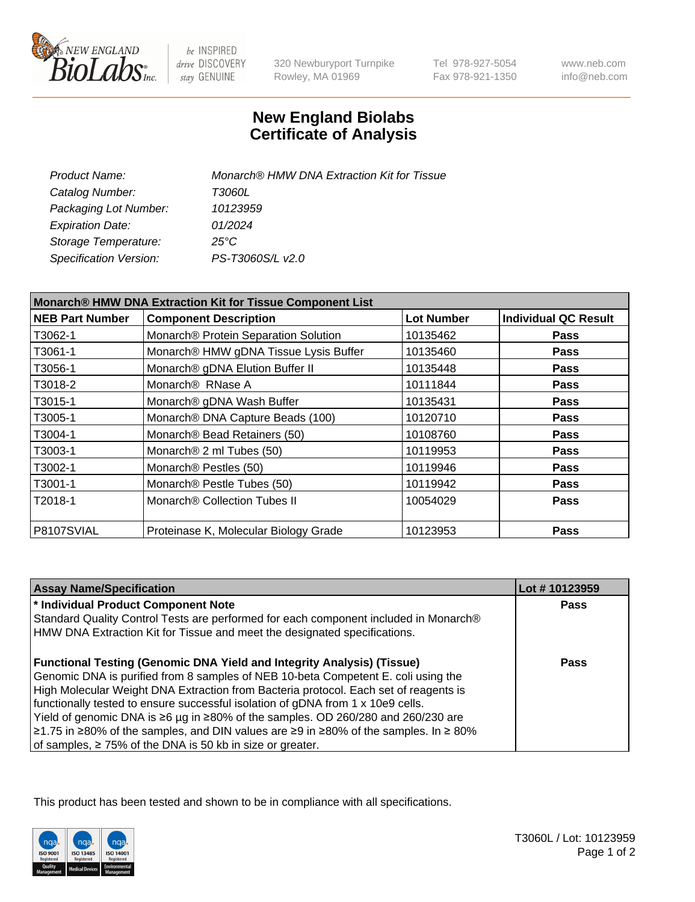

 $be$  INSPIRED drive DISCOVERY stay GENUINE

320 Newburyport Turnpike Rowley, MA 01969

Tel 978-927-5054 Fax 978-921-1350

www.neb.com info@neb.com

## **New England Biolabs Certificate of Analysis**

| Product Name:           | Monarch® HMW DNA Extraction Kit for Tissue |
|-------------------------|--------------------------------------------|
| Catalog Number:         | T3060L                                     |
| Packaging Lot Number:   | 10123959                                   |
| <b>Expiration Date:</b> | 01/2024                                    |
| Storage Temperature:    | $25^{\circ}$ C                             |
| Specification Version:  | PS-T3060S/L v2.0                           |

| Monarch® HMW DNA Extraction Kit for Tissue Component List |                                       |                   |                             |
|-----------------------------------------------------------|---------------------------------------|-------------------|-----------------------------|
| <b>NEB Part Number</b>                                    | <b>Component Description</b>          | <b>Lot Number</b> | <b>Individual QC Result</b> |
| T3062-1                                                   | Monarch® Protein Separation Solution  | 10135462          | <b>Pass</b>                 |
| T3061-1                                                   | Monarch® HMW gDNA Tissue Lysis Buffer | 10135460          | <b>Pass</b>                 |
| T3056-1                                                   | Monarch® gDNA Elution Buffer II       | 10135448          | <b>Pass</b>                 |
| T3018-2                                                   | Monarch <sup>®</sup> RNase A          | 10111844          | <b>Pass</b>                 |
| T3015-1                                                   | Monarch® gDNA Wash Buffer             | 10135431          | <b>Pass</b>                 |
| T3005-1                                                   | Monarch® DNA Capture Beads (100)      | 10120710          | <b>Pass</b>                 |
| T3004-1                                                   | Monarch® Bead Retainers (50)          | 10108760          | <b>Pass</b>                 |
| T3003-1                                                   | Monarch <sup>®</sup> 2 ml Tubes (50)  | 10119953          | Pass                        |
| T3002-1                                                   | Monarch® Pestles (50)                 | 10119946          | <b>Pass</b>                 |
| T3001-1                                                   | Monarch® Pestle Tubes (50)            | 10119942          | <b>Pass</b>                 |
| T2018-1                                                   | Monarch® Collection Tubes II          | 10054029          | <b>Pass</b>                 |
| P8107SVIAL                                                | Proteinase K, Molecular Biology Grade | 10123953          | <b>Pass</b>                 |

| <b>Assay Name/Specification</b>                                                          | Lot #10123959 |
|------------------------------------------------------------------------------------------|---------------|
| * Individual Product Component Note                                                      | <b>Pass</b>   |
| Standard Quality Control Tests are performed for each component included in Monarch®     |               |
| HMW DNA Extraction Kit for Tissue and meet the designated specifications.                |               |
| <b>Functional Testing (Genomic DNA Yield and Integrity Analysis) (Tissue)</b>            | Pass          |
| Genomic DNA is purified from 8 samples of NEB 10-beta Competent E. coli using the        |               |
| High Molecular Weight DNA Extraction from Bacteria protocol. Each set of reagents is     |               |
| functionally tested to ensure successful isolation of gDNA from 1 x 10e9 cells.          |               |
| Yield of genomic DNA is ≥6 µg in ≥80% of the samples. OD 260/280 and 260/230 are         |               |
| $\ge$ 1.75 in ≥80% of the samples, and DIN values are ≥9 in ≥80% of the samples. In ≥80% |               |
| of samples, $\geq$ 75% of the DNA is 50 kb in size or greater.                           |               |

This product has been tested and shown to be in compliance with all specifications.